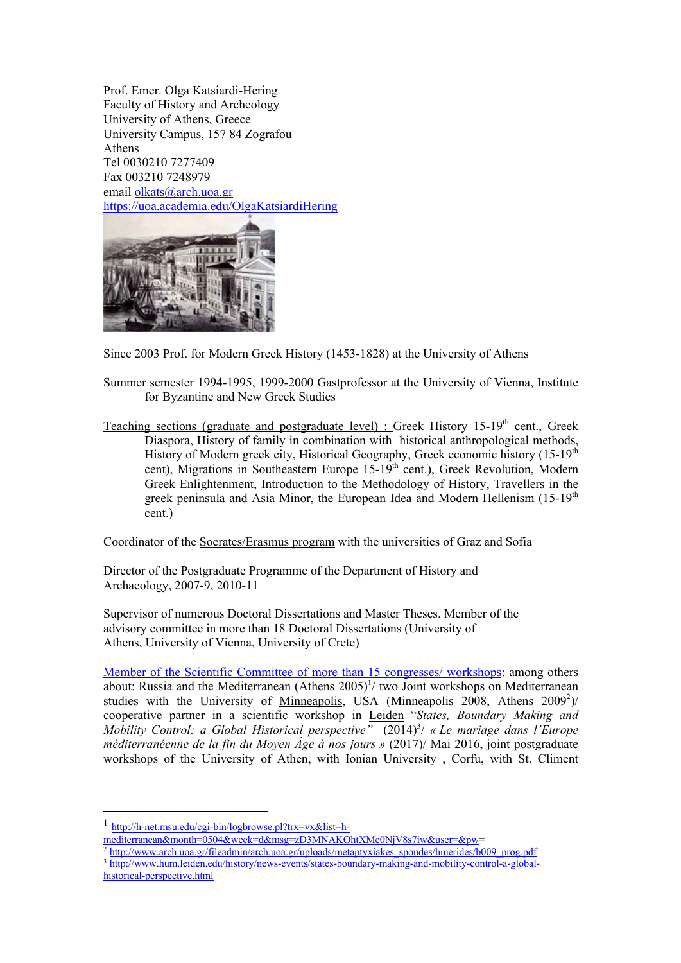Prof. Emer. Olga Katsiardi-Hering Faculty of History and Archeology University of Athens, Greece University Campus, 157 84 Zografou Athens Tel 0030210 7277409 Fax 003210 7248979 email olkats@arch.uoa.gr https://uoa.academia.edu/OlgaKatsiardiHering



Since 2003 Prof. for Modern Greek History (1453-1828) at the University of Athens

Summer semester 1994-1995, 1999-2000 Gastprofessor at the University of Vienna, Institute for Byzantine and New Greek Studies

Teaching sections (graduate and postgraduate level) : Greek History 15-19<sup>th</sup> cent., Greek Diaspora, History of family in combination with historical anthropological methods, History of Modern greek city, Historical Geography, Greek economic history (15-19<sup>th</sup>) cent), Migrations in Southeastern Europe  $15-19$ <sup>th</sup> cent.), Greek Revolution, Modern Greek Enlightenment, Introduction to the Methodology of History, Travellers in the greek peninsula and Asia Minor, the European Idea and Modern Hellenism  $(15-19<sup>th</sup>)$ cent.)

Coordinator of the Socrates/Erasmus program with the universities of Graz and Sofia

Director of the Postgraduate Programme of the Department of History and Archaeology, 2007-9, 2010-11

Supervisor of numerous Doctoral Dissertations and Master Theses. Member of the advisory committee in more than 18 Doctoral Dissertations (University of Athens, University of Vienna, University of Crete)

Member of the Scientific Committee of more than 15 congresses/ workshops: among others about: Russia and the Mediterranean (Athens  $2005$ <sup> $1/$ </sup> two Joint workshops on Mediterranean studies with the University of Minneapolis, USA (Minneapolis 2008, Athens 2009<sup>2</sup>)/ cooperative partner in a scientific workshop in Leiden "*States, Boundary Making and Mobility Control: a Global Historical perspective"* (2014)<sup>3</sup>/ « Le mariage dans l'Europe *méditerranéenne de la fin du Moyen Âge à nos jours »* (2017)/ Mai 2016, joint postgraduate workshops of the University of Athen, with Ionian University , Corfu, with St. Climent

mediterranean&month=0504&week=d&msg=zD3MNAKOhtXMe0NjV8s7iw&user=&pw=

<sup>2</sup> http://www.arch.uoa.gr/fileadmin/arch.uoa.gr/uploads/metaptyxiakes\_spoudes/hmerides/b009\_prog.pdf <sup>3</sup> http://www.hum.leiden.edu/history/news-events/states-boundary-making-and-mobility-control-a-globalhistorical-perspective.html

<sup>1</sup> http://h-net.msu.edu/cgi-bin/logbrowse.pl?trx=vx&list=h-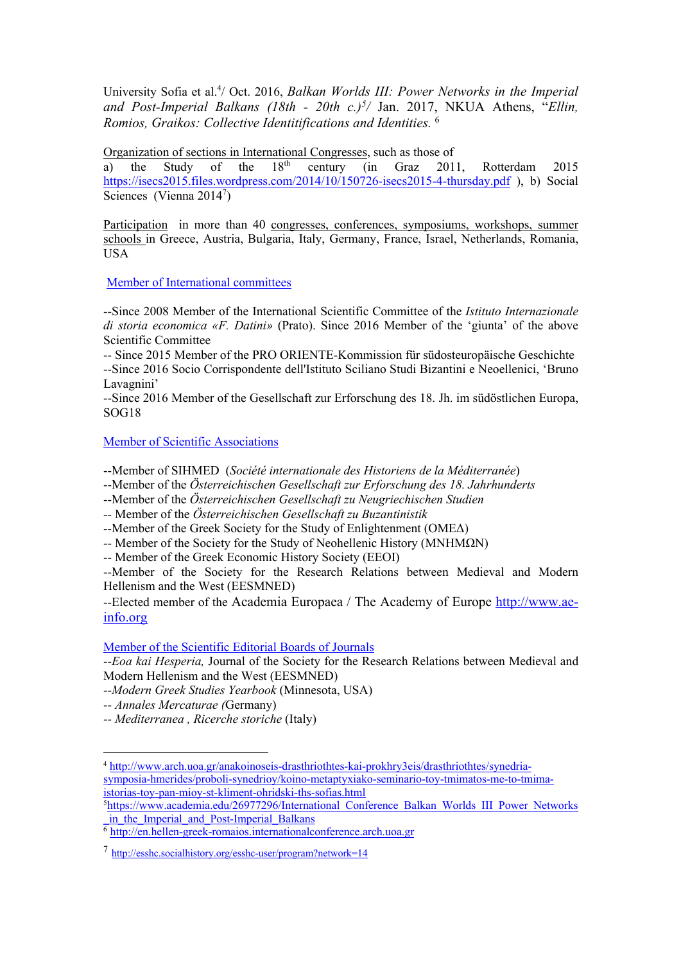University Sofia et al.<sup>4</sup>/ Oct. 2016, *Balkan Worlds III: Power Networks in the Imperial* and Post-Imperial Balkans (18th - 20th c.)<sup>5</sup>/ Jan. 2017, NKUA Athens, "Ellin, *Romios, Graikos: Collective Identitifications and Identities.* <sup>6</sup>

Organization of sections in International Congresses, such as those of a) the Study of the  $18<sup>th</sup>$  century (in Graz 201)

a) the Study of the  $18<sup>th</sup>$  century (in Graz 2011, Rotterdam 2015 https://isecs2015.files.wordpress.com/2014/10/150726-isecs2015-4-thursday.pdf ), b) Social Sciences (Vienna  $2014^7$ )

Participation in more than 40 congresses, conferences, symposiums, workshops, summer schools in Greece, Austria, Bulgaria, Italy, Germany, France, Israel, Netherlands, Romania, USA

Μember of International committees

--Since 2008 Member of the International Scientific Committee of the *Istituto Internazionale di storia economica «F. Datini»* (Prato). Since 2016 Member of the 'giunta' of the above Scientific Committee

-- Since 2015 Member of the PRO ORIENTE-Kommission für südosteuropäische Geschichte --Since 2016 Socio Corrispondente dell'Istituto Sciliano Studi Bizantini e Neoellenici, 'Bruno Lavagnini'

--Since 2016 Member of the Gesellschaft zur Erforschung des 18. Jh. im südöstlichen Europa, SOG18

Member of Scientific Associations

--Member of SIHMED (*Société internationale des Historiens de la Méditerranée*)

--Member of the *Österreichischen Gesellschaft zur Erforschung des 18. Jahrhunderts*

--Member of the *Österreichischen Gesellschaft zu Neugriechischen Studien*

*--* Member of the *Österreichischen Gesellschaft zu Buzantinistik*

*--*Member of the Greek Society for the Study of Enlightenment (ΟΜΕΔ)

-- Member of the Society for the Study of Neohellenic History (ΜΝΗΜΩΝ)

-- Member of the Greek Economic History Society (EEOI)

--Member of the Society for the Research Relations between Medieval and Modern Hellenism and the West (EESMNED)

--Elected member of the Academia Europaea / The Academy of Europe http://www.aeinfo.org

### Member of the Scientific Editorial Boards of Journals

--*Eoa kai Hesperia,* Journal of the Society for the Research Relations between Medieval and Modern Hellenism and the West (EESMNED)

--*Modern Greek Studies Yearbook* (Minnesota, USA)

-- *Annales Mercaturae (*Germany)

-- *Mediterranea , Ricerche storiche* (Italy)

<sup>5</sup>https://www.academia.edu/26977296/International\_Conference\_Balkan\_Worlds\_III\_Power\_Networks in the Imperial and Post-Imperial Balkans

<sup>6</sup> http://en.hellen-greek-romaios.internationalconference.arch.uoa.gr

<sup>4</sup> http://www.arch.uoa.gr/anakoinoseis-drasthriothtes-kai-prokhry3eis/drasthriothtes/synedriasymposia-hmerides/proboli-synedrioy/koino-metaptyxiako-seminario-toy-tmimatos-me-to-tmimaistorias-toy-pan-mioy-st-kliment-ohridski-ths-sofias.html

<sup>7</sup> http://esshc.socialhistory.org/esshc-user/program?network=14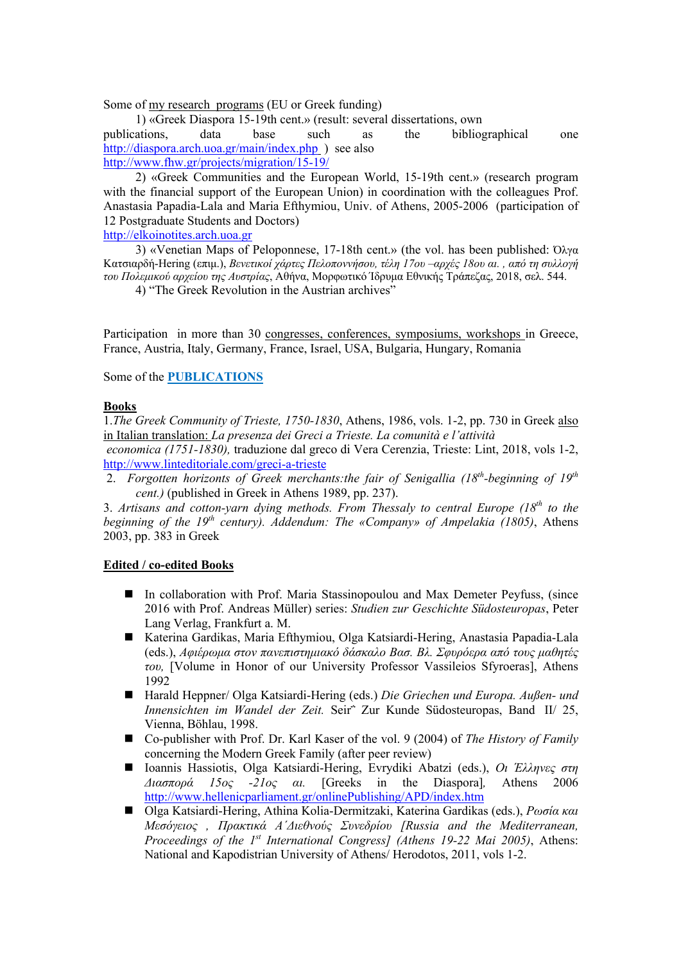Some of my research programs (EU or Greek funding)

1) «Greek Diaspora 15-19th cent.» (result: several dissertations, own publications, data base such as the bibliographical one http://diaspora.arch.uoa.gr/main/index.php ) see also http://www.fhw.gr/projects/migration/15-19/

2) «Greek Communities and the European World, 15-19th cent.» (research program with the financial support of the European Union) in coordination with the colleagues Prof. Anastasia Papadia-Lala and Maria Efthymiou, Univ. of Athens, 2005-2006 (participation of 12 Postgraduate Students and Doctors)

http://elkoinotites.arch.uoa.gr

3) «Venetian Maps of Peloponnese, 17-18th cent.» (the vol. has been published:  $\Omega \lambda y \alpha$ Κατσιαρδή-Hering (επιμ.), *Βενετικοί χάρτες Πελοποννήσου, τέλη 17ου –αρχές 18ου αι. , από τη συλλογή του Πολεμικού αρχείου της Αυστρίας*, Αθήνα, Μορφωτικό Ίδρυμα Εθνικής Τράπεζας, 2018, σελ. 544.

4) "The Greek Revolution in the Austrian archives"

Participation in more than 30 congresses, conferences, symposiums, workshops in Greece, France, Austria, Italy, Germany, France, Israel, USA, Bulgaria, Hungary, Romania

Some of the **PUBLICATIONS**

## **Books**

1.*The Greek Community of Trieste, 1750-1830*, Athens, 1986, vols. 1-2, pp. 730 in Greek also in Italian translation: *La presenza dei Greci a Trieste. La comunità e l'attività*

*economica (1751-1830),* traduzione dal greco di Vera Cerenzia, Trieste: Lint, 2018, vols 1-2, http://www.linteditoriale.com/greci-a-trieste

2. *Forgotten horizonts of Greek merchants:the fair of Senigallia (18th-beginning of 19th cent.)* (published in Greek in Athens 1989, pp. 237).

3. *Artisans and cotton-yarn dying methods. From Thessaly to central Europe (18th to the beginning of the 19th century). Addendum: The «Company» of Ampelakia (1805)*, Athens 2003, pp. 383 in Greek

### **Edited / co-edited Books**

- In collaboration with Prof. Maria Stassinopoulou and Max Demeter Peyfuss, (since 2016 with Prof. Andreas Müller) series: *Studien zur Geschichte Südosteuropas*, Peter Lang Verlag, Frankfurt a. M.
- Katerina Gardikas, Maria Efthymiou, Olga Katsiardi-Hering, Anastasia Papadia-Lala (eds.), *Αφιέρωμα στον πανεπιστημιακό δάσκαλο Βασ. Βλ. Σφυρόερα από τους μαθητές του,* [Volume in Honor of our University Professor Vassileios Sfyroeras], Athens 1992
- Harald Heppner/ Olga Katsiardi-Hering (eds.) *Die Griechen und Europa. Außen- und Innensichten im Wandel der Zeit.* Seir΅ Zur Kunde Südosteuropas, Band ΙΙ/ 25, Vienna, Böhlau, 1998.
- Co-publisher with Prof. Dr. Karl Kaser of the vol. 9 (2004) of *The History of Family* concerning the Modern Greek Family (after peer review)
- n Ioannis Hassiotis, Olga Katsiardi-Hering, Evrydiki Abatzi (eds.), *Οι Έλληνες στη Διασπορά 15ος -21ος αι.* [Greeks in the Diaspora]*,* Athens 2006 http://www.hellenicparliament.gr/onlinePublishing/APD/index.htm
- n Olga Katsiardi-Hering, Athina Kolia-Dermitzaki, Katerina Gardikas (eds.), *Ρωσία και Μεσόγειος , Πρακτικά Α΄Διεθνούς Συνεδρίου [Russia and the Mediterranean, Proceedings of the 1st International Congress] (Athens 19-22 Mai 2005)*, Athens: National and Kapodistrian University of Athens/ Herodotos, 2011, vols 1-2.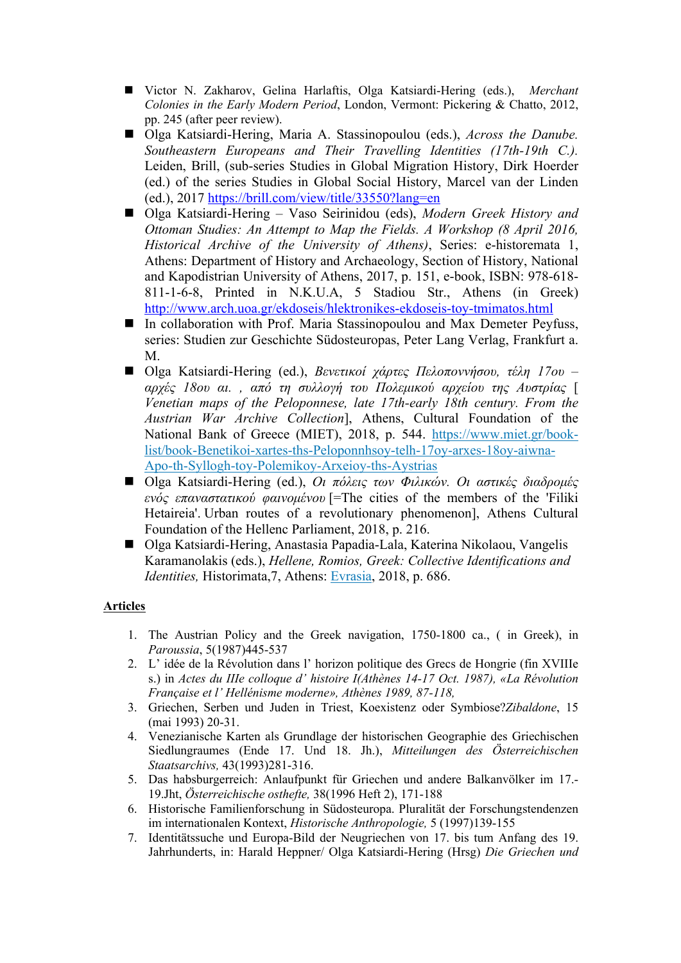- Victor N. Zakharov, Gelina Harlaftis, Olga Katsiardi-Hering (eds.), *Merchant Colonies in the Early Modern Period*, London, Vermont: Pickering & Chatto, 2012, pp. 245 (after peer review).
- Olga Katsiardi-Hering, Maria A. Stassinopoulou (eds.), *Across the Danube*. *Southeastern Europeans and Their Travelling Identities (17th-19th C.).*  Leiden, Brill, (sub-series Studies in Global Migration History, Dirk Hoerder (ed.) of the series Studies in Global Social History, Marcel van der Linden (ed.), 2017 https://brill.com/view/title/33550?lang=en
- Olga Katsiardi-Hering Vaso Seirinidou (eds), *Modern Greek History and Ottoman Studies: An Attempt to Map the Fields. A Workshop (8 April 2016, Historical Archive of the University of Athens)*, Series: e-historemata 1, Athens: Department of History and Archaeology, Section of History, National and Kapodistrian University of Athens, 2017, p. 151, e-book, ISBN: 978-618- 811-1-6-8, Printed in N.K.U.A, 5 Stadiou Str., Athens (in Greek) http://www.arch.uoa.gr/ekdoseis/hlektronikes-ekdoseis-toy-tmimatos.html
- In collaboration with Prof. Maria Stassinopoulou and Max Demeter Peyfuss, series: Studien zur Geschichte Südosteuropas, Peter Lang Verlag, Frankfurt a. M.
- n Olga Katsiardi-Hering (ed.), *Βενετικοί χάρτες Πελοποννήσου, τέλη 17ου – αρχές 18ου αι. , από τη συλλογή του Πολεμικού αρχείου της Αυστρίας* [ *Venetian maps of the Peloponnese, late 17th-early 18th century. From the Austrian War Archive Collection*], Athens, Cultural Foundation of the National Bank of Greece (MIET), 2018, p. 544. https://www.miet.gr/booklist/book-Benetikoi-xartes-ths-Peloponnhsoy-telh-17oy-arxes-18oy-aiwna-Apo-th-Syllogh-toy-Polemikoy-Arxeioy-ths-Aystrias
- n Olga Katsiardi-Hering (ed.), *Οι πόλεις των Φιλικών. Οι αστικές διαδρομές ενός επαναστατικού φαινομένου* [=The cities of the members of the 'Filiki Hetaireia'. Urban routes of a revolutionary phenomenon], Athens Cultural Foundation of the Hellenc Parliament, 2018, p. 216.
- Olga Katsiardi-Hering, Anastasia Papadia-Lala, Katerina Nikolaou, Vangelis Karamanolakis (eds.), *Hellene, Romios, Greek: Collective Identifications and Identities,* Historimata,7, Athens: Evrasia, 2018, p. 686.

# **Articles**

- 1. The Austrian Policy and the Greek navigation, 1750-1800 ca., ( in Greek), in *Paroussia*, 5(1987)445-537
- 2. L' idée de la Révolution dans l' horizon politique des Grecs de Hongrie (fin XVIIIe s.) in *Actes du IIIe colloque d' histoire I(Athènes 14-17 Oct. 1987), «La Révolution Française et l' Hellénisme moderne», Athènes 1989, 87-118,*
- 3. Griechen, Serben und Juden in Triest, Koexistenz oder Symbiose?*Zibaldone*, 15 (mai 1993) 20-31.
- 4. Venezianische Karten als Grundlage der historischen Geographie des Griechischen Siedlungraumes (Ende 17. Und 18. Jh.), *Mitteilungen des Österreichischen Staatsarchivs,* 43(1993)281-316.
- 5. Das habsburgerreich: Anlaufpunkt für Griechen und andere Balkanvölker im 17.- 19.Jht, *Österreichische osthefte,* 38(1996 Heft 2), 171-188
- 6. Historische Familienforschung in Südosteuropa. Pluralität der Forschungstendenzen im internationalen Kontext, *Historische Anthropologie,* 5 (1997)139-155
- 7. Identitätssuche und Europa-Bild der Neugriechen von 17. bis tum Anfang des 19. Jahrhunderts, in: Harald Heppner/ Olga Katsiardi-Hering (Hrsg) *Die Griechen und*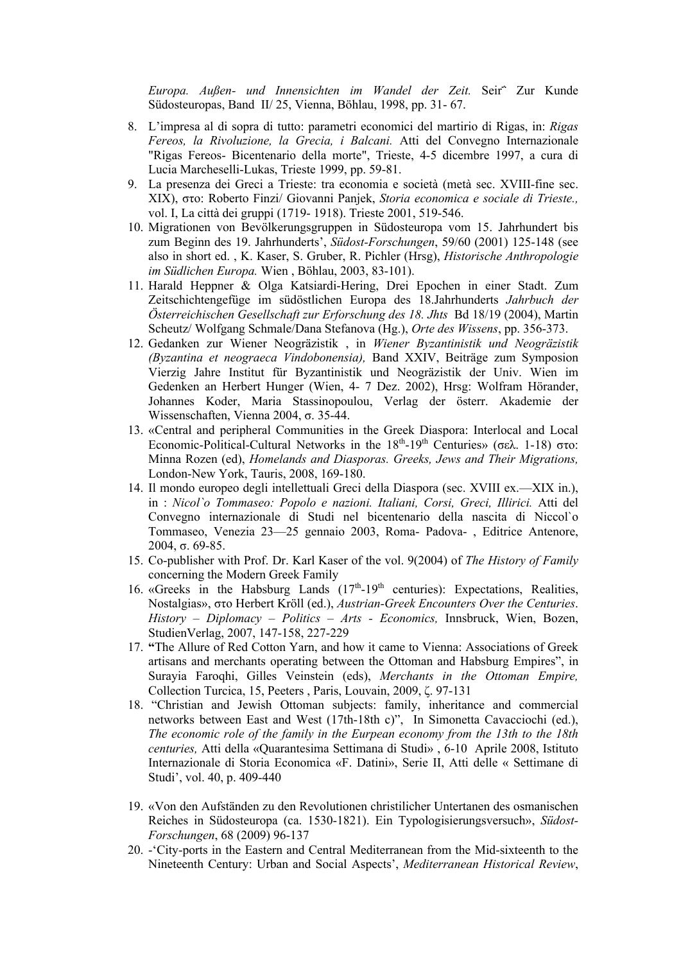*Europa. Außen- und Innensichten im Wandel der Zeit.* Seir΅ Zur Kunde Südosteuropas, Band ΙΙ/ 25, Vienna, Böhlau, 1998, pp. 31- 67.

- 8. L'impresa al di sopra di tutto: parametri economici del martirio di Rigas, in: *Rigas Fereos, la Rivoluzione, la Grecia, i Balcani.* Atti del Convegno Internazionale "Rigas Fereos- Bicentenario della morte", Trieste, 4-5 dicembre 1997, a cura di Lucia Marcheselli-Lukas, Trieste 1999, pp. 59-81.
- 9. La presenza dei Greci a Trieste: tra economia e società (metà sec. XVIII-fine sec. XIX), στο: Roberto Finzi/ Giovanni Panjek, *Storia economica e sociale di Trieste.,*  vol. I, La città dei gruppi (1719- 1918). Trieste 2001, 519-546.
- 10. Migrationen von Bevölkerungsgruppen in Südosteuropa vom 15. Jahrhundert bis zum Beginn des 19. Jahrhunderts', *Südost-Forschungen*, 59/60 (2001) 125-148 (see also in short ed. , K. Kaser, S. Gruber, R. Pichler (Hrsg), *Historische Anthropologie im Südlichen Europa.* Wien , Böhlau, 2003, 83-101).
- 11. Harald Heppner & Olga Katsiardi-Hering, Drei Epochen in einer Stadt. Zum Zeitschichtengefüge im südöstlichen Europa des 18.Jahrhunderts *Jahrbuch der Österreichischen Gesellschaft zur Erforschung des 18. Jhts* Bd 18/19 (2004), Martin Scheutz/ Wolfgang Schmale/Dana Stefanova (Hg.), *Orte des Wissens*, pp. 356-373.
- 12. Gedanken zur Wiener Neogräzistik , in *Wiener Byzantinistik und Neogräzistik (Byzantina et neograeca Vindobonensia),* Band XXIV, Beiträge zum Symposion Vierzig Jahre Institut für Byzantinistik und Neogräzistik der Univ. Wien im Gedenken an Herbert Hunger (Wien, 4- 7 Dez. 2002), Hrsg: Wolfram Hörander, Johannes Koder, Maria Stassinopoulou, Verlag der österr. Akademie der Wissenschaften, Vienna 2004, σ. 35-44.
- 13. «Central and peripheral Communities in the Greek Diaspora: Interlocal and Local Economic-Political-Cultural Networks in the  $18<sup>th</sup>$ -19<sup>th</sup> Centuries» (σελ. 1-18) στο: Minna Rozen (ed), *Homelands and Diasporas. Greeks, Jews and Their Migrations,* London-New York, Tauris, 2008, 169-180.
- 14. Il mondo europeo degli intellettuali Greci della Diaspora (sec. XVIII ex.—XIX in.), in : *Nicol`o Tommaseo: Popolo e nazioni. Italiani, Corsi, Greci, Illirici.* Atti del Convegno internazionale di Studi nel bicentenario della nascita di Niccol`o Tommaseo, Venezia 23—25 gennaio 2003, Roma- Padova- , Editrice Antenore, 2004, σ. 69-85.
- 15. Co-publisher with Prof. Dr. Karl Kaser of the vol. 9(2004) of *The History of Family* concerning the Modern Greek Family
- 16. «Greeks in the Habsburg Lands  $(17<sup>th</sup>-19<sup>th</sup>$  centuries): Expectations, Realities, Nostalgias», στο Herbert Kröll (ed.), *Austrian-Greek Encounters Over the Centuries*. *History – Diplomacy – Politics – Arts - Economics,* Innsbruck, Wien, Bozen, StudienVerlag, 2007, 147-158, 227-229
- 17. **"**Τhe Allure of Red Cotton Yarn, and how it came to Vienna: Associations of Greek artisans and merchants operating between the Ottoman and Habsburg Empires", in Surayia Faroqhi, Gilles Veinstein (eds), *Merchants in the Ottoman Empire,*  Collection Turcica, 15, Peeters , Paris, Louvain, 2009, ζ. 97-131
- 18. "Christian and Jewish Ottoman subjects: family, inheritance and commercial networks between East and West (17th-18th c)", In Simonetta Cavacciochi (ed.), *The economic role of the family in the Eurpean economy from the 13th to the 18th centuries,* Atti della «Quarantesima Settimana di Studi» , 6-10 Aprile 2008, Istituto Internazionale di Storia Economica «F. Datini», Serie II, Atti delle « Settimane di Studi', vol. 40, p. 409-440
- 19. «Von den Aufständen zu den Revolutionen christilicher Untertanen des osmanischen Reiches in Südosteuropa (ca. 1530-1821). Ein Typologisierungsversuch», *Südost-Forschungen*, 68 (2009) 96-137
- 20. -'City-ports in the Eastern and Central Mediterranean from the Mid-sixteenth to the Nineteenth Century: Urban and Social Aspects', *Mediterranean Historical Review*,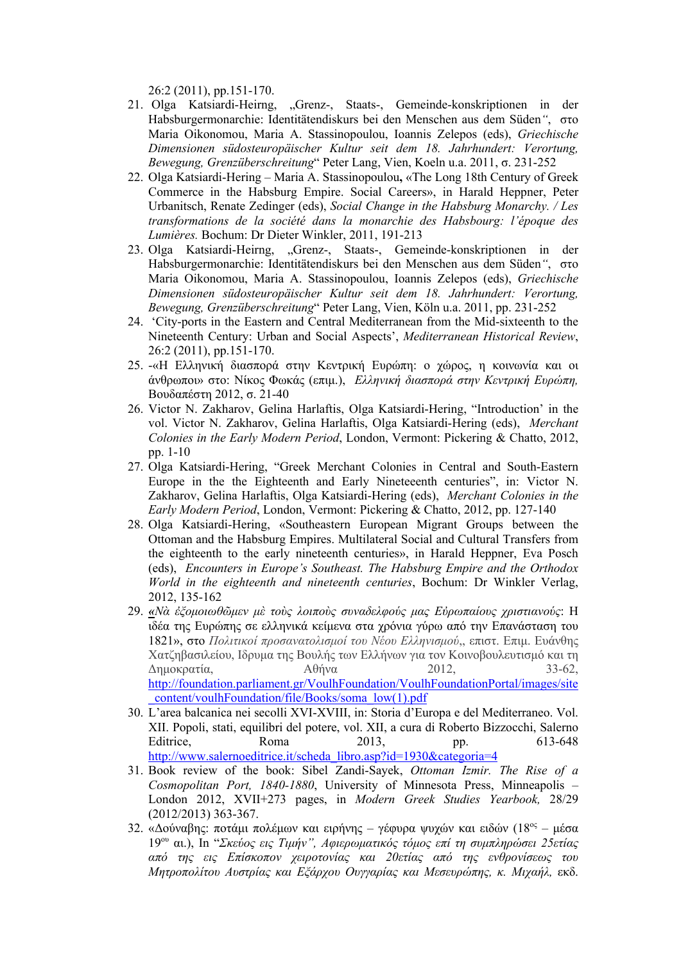26:2 (2011), pp.151-170.

- 21. Olga Katsiardi-Heirng, "Grenz-, Staats-, Gemeinde-konskriptionen in der Habsburgermonarchie: Identitätendiskurs bei den Menschen aus dem Süden*"*, στο Maria Oikonomou, Maria A. Stassinopoulou, Ioannis Zelepos (eds), *Griechische Dimensionen südosteuropäischer Kultur seit dem 18. Jahrhundert: Verortung, Bewegung, Grenzüberschreitung*" Peter Lang, Vien, Koeln u.a. 2011, σ. 231-252
- 22. Olga Katsiardi-Hering Maria A. Stassinopoulou**,** «The Long 18th Century of Greek Commerce in the Habsburg Empire. Social Careers», in Harald Heppner, Peter Urbanitsch, Renate Zedinger (eds), *Social Change in the Habsburg Monarchy. / Les transformations de la société dans la monarchie des Habsbourg: l'époque des Lumières.* Bochum: Dr Dieter Winkler, 2011, 191-213
- 23. Olga Katsiardi-Heirng, "Grenz-, Staats-, Gemeinde-konskriptionen in der Habsburgermonarchie: Identitätendiskurs bei den Menschen aus dem Süden*"*, στο Maria Oikonomou, Maria A. Stassinopoulou, Ioannis Zelepos (eds), *Griechische Dimensionen südosteuropäischer Kultur seit dem 18. Jahrhundert: Verortung, Bewegung, Grenzüberschreitung*" Peter Lang, Vien, Köln u.a. 2011, pp. 231-252
- 24. 'City-ports in the Eastern and Central Mediterranean from the Mid-sixteenth to the Nineteenth Century: Urban and Social Aspects', *Mediterranean Historical Review*, 26:2 (2011), pp.151-170.
- 25. -«Η Ελληνική διασπορά στην Κεντρική Ευρώπη: ο χώρος, η κοινωνία και οι άνθρωποι» στο: Νίκος Φωκάς (επιμ.), *Ελληνική διασπορά στην Κεντρική Ευρώπη,*  Βουδαπέστη 2012, σ. 21-40
- 26. Victor N. Zakharov, Gelina Harlaftis, Olga Katsiardi-Hering, "Introduction' in the vol. Victor N. Zakharov, Gelina Harlaftis, Olga Katsiardi-Hering (eds), *Merchant Colonies in the Early Modern Period*, London, Vermont: Pickering & Chatto, 2012, pp. 1-10
- 27. Olga Katsiardi-Hering, "Greek Merchant Colonies in Central and South-Eastern Europe in the the Eighteenth and Early Nineteeenth centuries", in: Victor N. Zakharov, Gelina Harlaftis, Olga Katsiardi-Hering (eds), *Merchant Colonies in the Early Modern Period*, London, Vermont: Pickering & Chatto, 2012, pp. 127-140
- 28. Olga Katsiardi-Hering, «Southeastern European Migrant Groups between the Ottoman and the Habsburg Empires. Multilateral Social and Cultural Transfers from the eighteenth to the early nineteenth centuries», in Harald Heppner, Eva Posch (eds), *Encounters in Europe's Southeast. The Habsburg Empire and the Orthodox World in the eighteenth and nineteenth centuries*, Bochum: Dr Winkler Verlag, 2012, 135-162
- 29. *«Nὰ ἐξομοιωθῶμεν μὲ τοὺς λοιποὺς συναδελφούς μας Εὐρωπαίους χριστιανούς*: Η ιδέα της Ευρώπης σε ελληνικά κείμενα στα χρόνια γύρω από την Επανάσταση του 1821», στο *Πολιτικοί προσανατολισμοί του Νέου Ελληνισμού*,, επιστ. Επιμ. Ευάνθης Χατζηβασιλείου, Ιδρυμα της Βουλής των Ελλήνων για τον Κοινοβουλευτισμό και τη Δημοκρατία, Αθήνα 2012, 33-62, http://foundation.parliament.gr/VoulhFoundation/VoulhFoundationPortal/images/site \_content/voulhFoundation/file/Books/soma\_low(1).pdf
- 30. L'area balcanica nei secolli XVI-XVIII, in: Storia d'Europa e del Mediterraneo. Vol. XII. Popoli, stati, equilibri del potere, vol. XII, a cura di Roberto Bizzocchi, Salerno Editrice, Roma 2013, pp. 613-648 http://www.salernoeditrice.it/scheda\_libro.asp?id=1930&categoria=4
- 31. Book review of the book: Sibel Zandi-Sayek, *Ottoman Izmir. The Rise of a Cosmopolitan Port, 1840-1880*, University of Minnesota Press, Minneapolis – London 2012, XVII+273 pages, in *Modern Greek Studies Yearbook,* 28/29 (2012/2013) 363-367.
- 32. «Δούναβης: ποτάμι πολέμων και ειρήνης γέφυρα ψυχών και ειδών (18<sup>ος</sup> μέσα 19ου αι.), In "*Σκεύος εις Τιμήν", Αφιερωματικός τόμος επί τη συμπληρώσει 25ετίας από της εις Επίσκοπον χειροτονίας και 20ετίας από της ενθρονίσεως του Μητροπολίτου Αυστρίας και Εξάρχου Ουγγαρίας και Μεσευρώπης, κ. Μιχαήλ,* εκδ.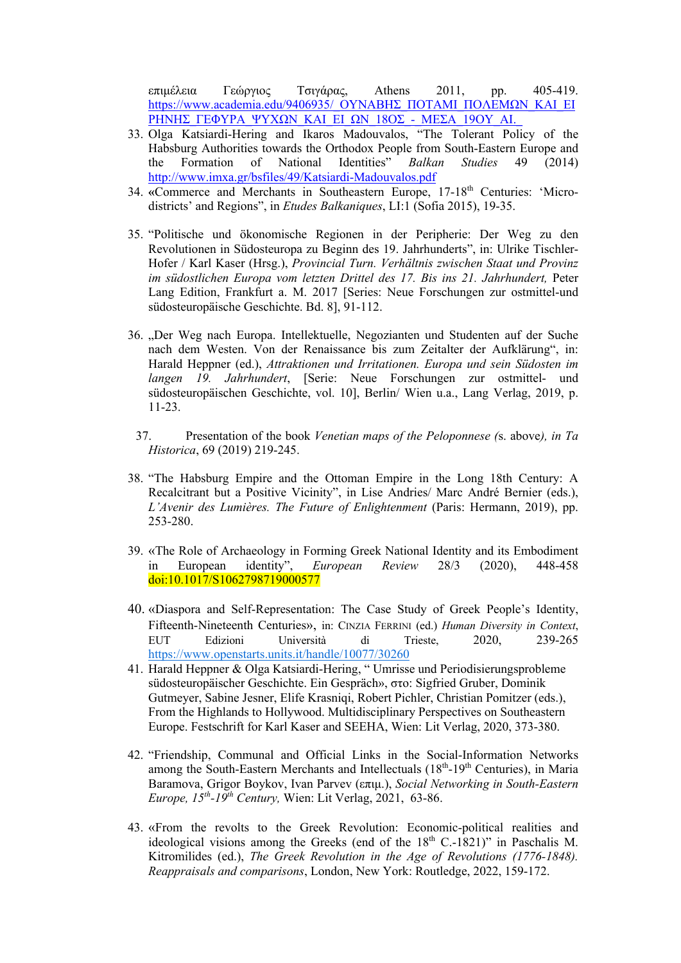επιμέλεια Γεώργιος Τσιγάρας, Athens 2011, pp. 405-419. https://www.academia.edu/9406935/ ΟΥΝΑΒΗΣ ΠΟΤΑΜΙ ΠΟΛΕΜΩΝ ΚΑΙ ΕΙ ΡΗΝΗΣ\_ΓΕΦΥΡΑ\_ΨΥΧΩΝ\_ΚΑΙ\_ΕΙ\_ΩΝ\_18ΟΣ\_-\_ΜΕΣΑ\_19ΟΥ\_ΑΙ.\_

- 33. Olga Katsiardi-Hering and Ikaros Madouvalos, "The Tolerant Policy of the Habsburg Authorities towards the Orthodox People from South-Eastern Europe and the Formation of National Identities" *Balkan Studies* 49 (2014) http://www.imxa.gr/bsfiles/49/Katsiardi-Madouvalos.pdf
- 34. «Commerce and Merchants in Southeastern Europe, 17-18<sup>th</sup> Centuries: 'Microdistricts' and Regions", in *Etudes Balkaniques*, LI:1 (Sofia 2015), 19-35.
- 35. "Politische und ökonomische Regionen in der Peripherie: Der Weg zu den Revolutionen in Südosteuropa zu Beginn des 19. Jahrhunderts", in: Ulrike Tischler-Hofer / Karl Kaser (Hrsg.), *Provincial Turn. Verhältnis zwischen Staat und Provinz im südostlichen Europa vom letzten Drittel des 17. Bis ins 21. Jahrhundert,* Peter Lang Edition, Frankfurt a. M. 2017 [Series: Neue Forschungen zur ostmittel-und südosteuropäische Geschichte. Bd. 8], 91-112.
- 36. "Der Weg nach Europa. Intellektuelle, Negozianten und Studenten auf der Suche nach dem Westen. Von der Renaissance bis zum Zeitalter der Aufklärung", in: Harald Heppner (ed.), *Attraktionen und Irritationen. Europa und sein Südosten im langen 19. Jahrhundert*, [Serie: Neue Forschungen zur ostmittel- und südosteuropäischen Geschichte, vol. 10], Berlin/ Wien u.a., Lang Verlag, 2019, p. 11-23.
- 37. Presentation of the book *Venetian maps of the Peloponnese (*s. above*), in Ta Historica*, 69 (2019) 219-245.
- 38. "The Habsburg Empire and the Ottoman Empire in the Long 18th Century: A Recalcitrant but a Positive Vicinity", in Lise Andries/ Marc André Bernier (eds.), *L'Avenir des Lumières. The Future of Enlightenment* (Paris: Hermann, 2019), pp. 253-280.
- 39. «The Role of Archaeology in Forming Greek National Identity and its Embodiment in European identity", *European Review* 28/3 (2020), 448-458 doi:10.1017/S1062798719000577
- 40. «Diaspora and Self-Representation: The Case Study of Greek People's Identity, Fifteenth-Nineteenth Centuries», in: CINZIA FERRINI (ed.) *Human Diversity in Context*, EUT Edizioni Università di Trieste, 2020, 239-265 https://www.openstarts.units.it/handle/10077/30260
- 41. Harald Heppner & Olga Katsiardi-Hering, " Umrisse und Periodisierungsprobleme südosteuropäischer Geschichte. Ein Gespräch», στο: Sigfried Gruber, Dominik Gutmeyer, Sabine Jesner, Elife Krasniqi, Robert Pichler, Christian Pomitzer (eds.), From the Highlands to Hollywood. Multidisciplinary Perspectives on Southeastern Europe. Festschrift for Karl Kaser and SEEHA, Wien: Lit Verlag, 2020, 373-380.
- 42. "Friendship, Communal and Official Links in the Social-Information Networks among the South-Eastern Merchants and Intellectuals  $(18<sup>th</sup>-19<sup>th</sup>$  Centuries), in Maria Baramova, Grigor Boykov, Ivan Parvev (επιμ.), *Social Networking in South-Eastern Europe, 15th-19th Century,* Wien: Lit Verlag, 2021, 63-86.
- 43. «From the revolts to the Greek Revolution: Economic-political realities and ideological visions among the Greeks (end of the  $18<sup>th</sup>$  C.-1821)" in Paschalis M. Kitromilides (ed.), *The Greek Revolution in the Age of Revolutions (1776-1848). Reappraisals and comparisons*, London, New York: Routledge, 2022, 159-172.